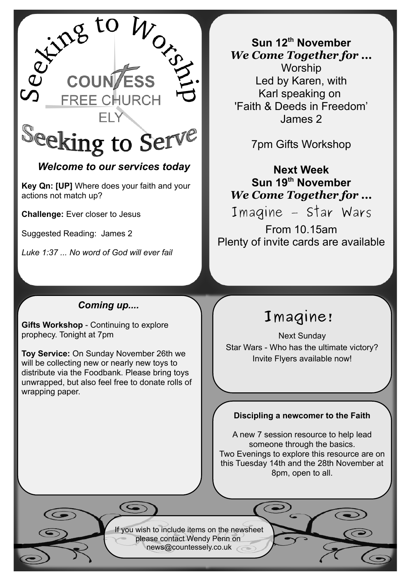

# *Welcome to our services today*

**Key Qn: [UP]** Where does your faith and your actions not match up?

**Challenge:** Ever closer to Jesus

Suggested Reading: James 2

*Luke 1:37 ... No word of God will ever fail*

**Sun 12th November** *We Come Together for ...* Worship Led by Karen, with Karl speaking on 'Faith & Deeds in Freedom' James 2

7pm Gifts Workshop

# **Next Week Sun 19th November** *We Come Together for ...*

Imagine – Star Wars

From 10.15am Plenty of invite cards are available

# *Coming up....*

**Gifts Workshop** - Continuing to explore prophecy. Tonight at 7pm

**Toy Service:** On Sunday November 26th we will be collecting new or nearly new toys to distribute via the Foodbank. Please bring toys unwrapped, but also feel free to donate rolls of wrapping paper.

# **Imagine!**

Next Sunday Star Wars - Who has the ultimate victory? Invite Flyers available now!

### **Discipling a newcomer to the Faith**

A new 7 session resource to help lead someone through the basics. Two Evenings to explore this resource are on this Tuesday 14th and the 28th November at 8pm, open to all.

If you wish to include items on the newsheet please contact Wendy Penn on [news@countessely.co.uk](mailto:news@countessely.co.uk)